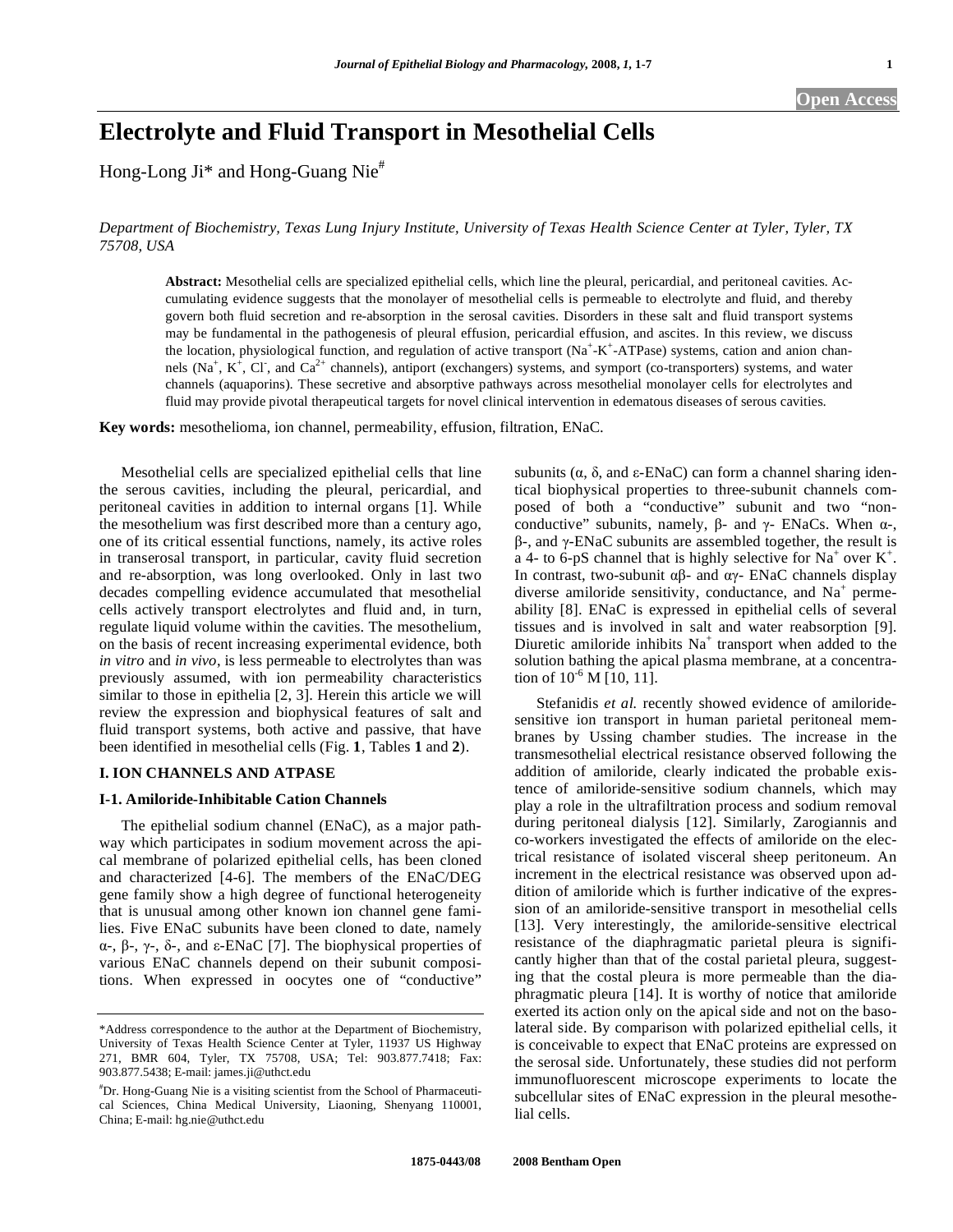# **Electrolyte and Fluid Transport in Mesothelial Cells**

Hong-Long Ji\* and Hong-Guang Nie<sup>#</sup>

*Department of Biochemistry, Texas Lung Injury Institute, University of Texas Health Science Center at Tyler, Tyler, TX 75708, USA* 

**Abstract:** Mesothelial cells are specialized epithelial cells, which line the pleural, pericardial, and peritoneal cavities. Accumulating evidence suggests that the monolayer of mesothelial cells is permeable to electrolyte and fluid, and thereby govern both fluid secretion and re-absorption in the serosal cavities. Disorders in these salt and fluid transport systems may be fundamental in the pathogenesis of pleural effusion, pericardial effusion, and ascites. In this review, we discuss the location, physiological function, and regulation of active transport  $(Na^+ - K^+ - ATPase)$  systems, cation and anion channels (Na<sup>+</sup>, K<sup>+</sup>, Cl<sup>-</sup>, and Ca<sup>2+</sup> channels), antiport (exchangers) systems, and symport (co-transporters) systems, and water channels (aquaporins). These secretive and absorptive pathways across mesothelial monolayer cells for electrolytes and fluid may provide pivotal therapeutical targets for novel clinical intervention in edematous diseases of serous cavities.

**Key words:** mesothelioma, ion channel, permeability, effusion, filtration, ENaC.

 Mesothelial cells are specialized epithelial cells that line the serous cavities, including the pleural, pericardial, and peritoneal cavities in addition to internal organs [1]. While the mesothelium was first described more than a century ago, one of its critical essential functions, namely, its active roles in transerosal transport, in particular, cavity fluid secretion and re-absorption, was long overlooked. Only in last two decades compelling evidence accumulated that mesothelial cells actively transport electrolytes and fluid and, in turn, regulate liquid volume within the cavities. The mesothelium, on the basis of recent increasing experimental evidence, both *in vitro* and *in vivo*, is less permeable to electrolytes than was previously assumed, with ion permeability characteristics similar to those in epithelia [2, 3]. Herein this article we will review the expression and biophysical features of salt and fluid transport systems, both active and passive, that have been identified in mesothelial cells (Fig. **1**, Tables **1** and **2**).

# **I. ION CHANNELS AND ATPASE**

#### **I-1. Amiloride-Inhibitable Cation Channels**

The epithelial sodium channel (ENaC), as a major pathway which participates in sodium movement across the apical membrane of polarized epithelial cells, has been cloned and characterized [4-6]. The members of the ENaC/DEG gene family show a high degree of functional heterogeneity that is unusual among other known ion channel gene families. Five ENaC subunits have been cloned to date, namely  $\alpha$ -,  $\beta$ -,  $\gamma$ -,  $\delta$ -, and  $\epsilon$ -ENaC [7]. The biophysical properties of various ENaC channels depend on their subunit compositions. When expressed in oocytes one of "conductive"

subunits  $(\alpha, \delta, \text{ and } \varepsilon\text{-ENaC})$  can form a channel sharing identical biophysical properties to three-subunit channels composed of both a "conductive" subunit and two "nonconductive" subunits, namely,  $\beta$ - and  $\gamma$ - ENaCs. When  $\alpha$ -,  $\beta$ -, and  $\gamma$ -ENaC subunits are assembled together, the result is a 4- to 6-pS channel that is highly selective for  $Na^+$  over  $K^+$ . In contrast, two-subunit  $\alpha\beta$ - and  $\alpha\gamma$ - ENaC channels display diverse amiloride sensitivity, conductance, and  $Na<sup>+</sup>$  permeability [8]. ENaC is expressed in epithelial cells of several tissues and is involved in salt and water reabsorption [9]. Diuretic amiloride inhibits Na<sup>+</sup> transport when added to the solution bathing the apical plasma membrane, at a concentration of  $10^{-6}$  M [10, 11].

Stefanidis et al. recently showed evidence of amiloridesensitive ion transport in human parietal peritoneal membranes by Ussing chamber studies. The increase in the transmesothelial electrical resistance observed following the addition of amiloride, clearly indicated the probable existence of amiloride-sensitive sodium channels, which may play a role in the ultrafiltration process and sodium removal during peritoneal dialysis [12]. Similarly, Zarogiannis and co-workers investigated the effects of amiloride on the electrical resistance of isolated visceral sheep peritoneum. An increment in the electrical resistance was observed upon addition of amiloride which is further indicative of the expression of an amiloride-sensitive transport in mesothelial cells [13]. Very interestingly, the amiloride-sensitive electrical resistance of the diaphragmatic parietal pleura is significantly higher than that of the costal parietal pleura, suggesting that the costal pleura is more permeable than the diaphragmatic pleura [14]. It is worthy of notice that amiloride exerted its action only on the apical side and not on the basolateral side. By comparison with polarized epithelial cells, it is conceivable to expect that ENaC proteins are expressed on the serosal side. Unfortunately, these studies did not perform immunofluorescent microscope experiments to locate the subcellular sites of ENaC expression in the pleural mesothelial cells.

<sup>\*</sup>Address correspondence to the author at the Department of Biochemistry, University of Texas Health Science Center at Tyler, 11937 US Highway 271, BMR 604, Tyler, TX 75708, USA; Tel: 903.877.7418; Fax: 903.877.5438; E-mail: james.ji@uthct.edu

<sup>#</sup> Dr. Hong-Guang Nie is a visiting scientist from the School of Pharmaceutical Sciences, China Medical University, Liaoning, Shenyang 110001, China; E-mail: hg.nie@uthct.edu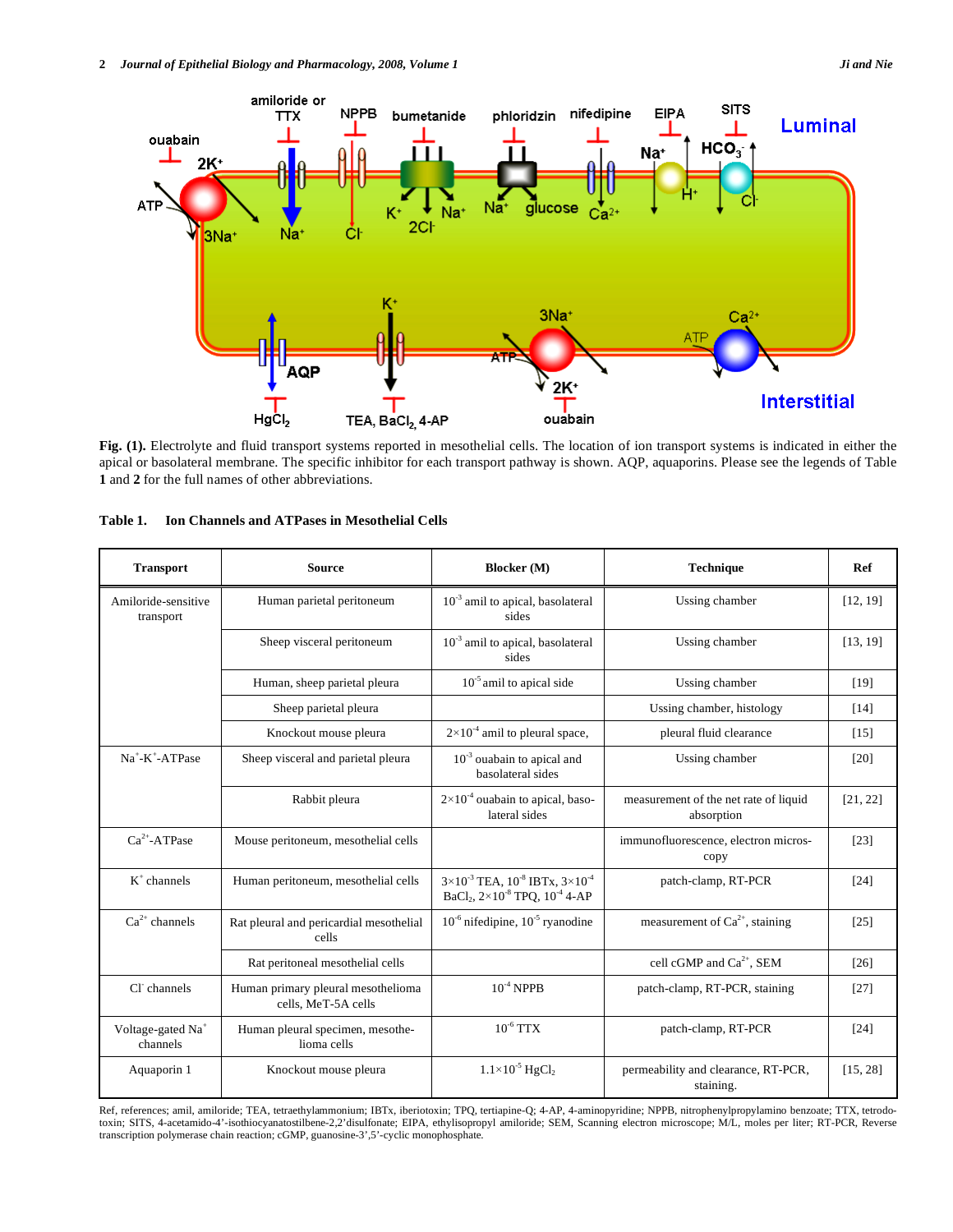

**Fig. (1).** Electrolyte and fluid transport systems reported in mesothelial cells. The location of ion transport systems is indicated in either the apical or basolateral membrane. The specific inhibitor for each transport pathway is shown. AQP, aquaporins. Please see the legends of Table **1** and **2** for the full names of other abbreviations.

| <b>Transport</b>                          | <b>Source</b>                                             | <b>Blocker</b> (M)                                                                                                   | Technique                                           | Ref                |
|-------------------------------------------|-----------------------------------------------------------|----------------------------------------------------------------------------------------------------------------------|-----------------------------------------------------|--------------------|
| Amiloride-sensitive<br>transport          | Human parietal peritoneum                                 | $10^{-3}$ amil to apical, basolateral<br>sides                                                                       | Ussing chamber                                      | [12, 19]           |
|                                           | Sheep visceral peritoneum                                 | $10^{-3}$ amil to apical, basolateral<br>sides                                                                       | Ussing chamber                                      | [13, 19]           |
|                                           | Human, sheep parietal pleura                              | $10^{-5}$ amil to apical side                                                                                        | Ussing chamber                                      | $[19]$             |
|                                           | Sheep parietal pleura                                     |                                                                                                                      | Ussing chamber, histology                           | $[14]$             |
|                                           | Knockout mouse pleura                                     | $2\times10^{-4}$ amil to pleural space,                                                                              | pleural fluid clearance                             | $[15]$             |
| $Na^+$ -K $^+$ -ATPase                    | Sheep visceral and parietal pleura                        | $10^{-3}$ ouabain to apical and<br>basolateral sides                                                                 | Ussing chamber                                      | [20]               |
|                                           | Rabbit pleura                                             | $2\times10^{-4}$ ouabain to apical, baso-<br>lateral sides                                                           | measurement of the net rate of liquid<br>absorption | [21, 22]           |
| $Ca^{2+}$ -ATPase                         | Mouse peritoneum, mesothelial cells                       |                                                                                                                      | immunofluorescence, electron micros-<br>copy        | [23]               |
| $K^+$ channels                            | Human peritoneum, mesothelial cells                       | $3\times10^{-3}$ TEA, $10^{-8}$ IBTx, $3\times10^{-4}$<br>BaCl <sub>2</sub> , $2 \times 10^{-8}$ TPQ, $10^{-4}$ 4-AP | patch-clamp, RT-PCR                                 | $[24]$             |
| $Ca^{2+}$ channels                        | Rat pleural and pericardial mesothelial<br>cells          | $10^{-6}$ nifedipine, $10^{-5}$ ryanodine                                                                            | measurement of $Ca^{2+}$ , staining                 | $[25]$             |
|                                           | Rat peritoneal mesothelial cells                          |                                                                                                                      | cell cGMP and $Ca2+$ , SEM                          | $\lceil 26 \rceil$ |
| Cl channels                               | Human primary pleural mesothelioma<br>cells. MeT-5A cells | $10^{-4}$ NPPB                                                                                                       | patch-clamp, RT-PCR, staining                       | $[27]$             |
| Voltage-gated Na <sup>+</sup><br>channels | Human pleural specimen, mesothe-<br>lioma cells           | $10^{-6}$ TTX                                                                                                        | patch-clamp, RT-PCR                                 | $[24]$             |
| Aquaporin 1                               | Knockout mouse pleura                                     | $1.1 \times 10^{-5}$ HgCl <sub>2</sub>                                                                               | permeability and clearance, RT-PCR,<br>staining.    | [15, 28]           |

| <b>Ion Channels and ATPases in Mesothelial Cells</b><br>Table 1. |  |  |
|------------------------------------------------------------------|--|--|
|------------------------------------------------------------------|--|--|

Ref, references; amil, amiloride; TEA, tetraethylammonium; IBTx, iberiotoxin; TPQ, tertiapine-Q; 4-AP, 4-aminopyridine; NPPB, nitrophenylpropylamino benzoate; TTX, tetrodo-<br>toxin; SITS, 4-acetamido-4'-isothiocyanatostilben transcription polymerase chain reaction; cGMP, guanosine-3',5'-cyclic monophosphate.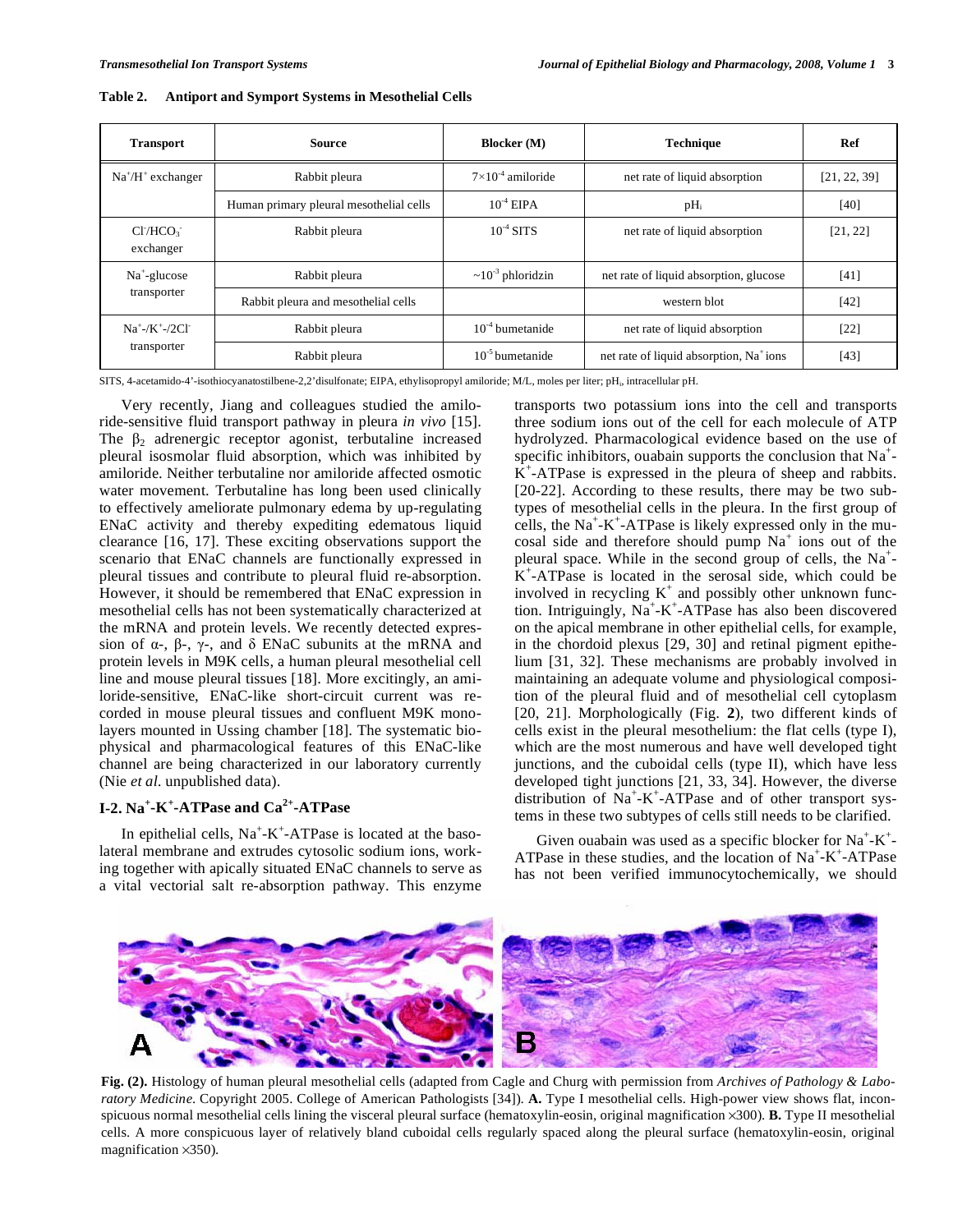| <b>Transport</b>                                          | Source                                  | <b>Blocker</b> (M)           | <b>Technique</b>                                    | Ref          |
|-----------------------------------------------------------|-----------------------------------------|------------------------------|-----------------------------------------------------|--------------|
| $Na^{\dagger}/H^{\dagger}$ exchanger                      | Rabbit pleura                           | $7 \times 10^{-4}$ amiloride | net rate of liquid absorption                       | [21, 22, 39] |
|                                                           | Human primary pleural mesothelial cells | $10^{-4}$ EIPA               | $pH_i$                                              | $[40]$       |
| CI/HCO <sub>3</sub><br>exchanger                          | Rabbit pleura                           | $10^{-4}$ SITS               | net rate of liquid absorption                       | [21, 22]     |
| $Na^+$ -glucose<br>transporter                            | Rabbit pleura                           | $\sim 10^{-3}$ phloridzin    | net rate of liquid absorption, glucose              | $[41]$       |
|                                                           | Rabbit pleura and mesothelial cells     |                              | western blot                                        | $[42]$       |
| $Na^+$ -/K <sup>+</sup> -/2Cl <sup>+</sup><br>transporter | Rabbit pleura                           | $10^{-4}$ bumetanide         | net rate of liquid absorption                       | $[22]$       |
|                                                           | Rabbit pleura                           | $10^{-5}$ bumetanide         | net rate of liquid absorption, Na <sup>+</sup> ions | [43]         |

**Table 2. Antiport and Symport Systems in Mesothelial Cells** 

SITS, 4-acetamido-4'-isothiocyanatostilbene-2,2'disulfonate; EIPA, ethylisopropyl amiloride; M/L, moles per liter; pHi, intracellular pH.

 Very recently, Jiang and colleagues studied the amiloride-sensitive fluid transport pathway in pleura *in vivo* [15]. The  $\beta_2$  adrenergic receptor agonist, terbutaline increased pleural isosmolar fluid absorption, which was inhibited by amiloride. Neither terbutaline nor amiloride affected osmotic water movement. Terbutaline has long been used clinically to effectively ameliorate pulmonary edema by up-regulating ENaC activity and thereby expediting edematous liquid clearance [16, 17]. These exciting observations support the scenario that ENaC channels are functionally expressed in pleural tissues and contribute to pleural fluid re-absorption. However, it should be remembered that ENaC expression in mesothelial cells has not been systematically characterized at the mRNA and protein levels. We recently detected expression of  $\alpha$ -,  $\beta$ -,  $\gamma$ -, and  $\delta$  ENaC subunits at the mRNA and protein levels in M9K cells, a human pleural mesothelial cell line and mouse pleural tissues [18]. More excitingly, an amiloride-sensitive, ENaC-like short-circuit current was recorded in mouse pleural tissues and confluent M9K monolayers mounted in Ussing chamber [18]. The systematic biophysical and pharmacological features of this ENaC-like channel are being characterized in our laboratory currently (Nie *et al.* unpublished data).

# **I-2. Na<sup>+</sup> -K<sup>+</sup> -ATPase and Ca2+-ATPase**

In epithelial cells,  $Na^+$ - $K^+$ -ATPase is located at the basolateral membrane and extrudes cytosolic sodium ions, working together with apically situated ENaC channels to serve as a vital vectorial salt re-absorption pathway. This enzyme transports two potassium ions into the cell and transports three sodium ions out of the cell for each molecule of ATP hydrolyzed. Pharmacological evidence based on the use of specific inhibitors, ouabain supports the conclusion that  $Na<sup>+</sup>$  $K^+$ -ATPase is expressed in the pleura of sheep and rabbits. [20-22]. According to these results, there may be two subtypes of mesothelial cells in the pleura. In the first group of cells, the  $Na^+ - K^+$ -ATPase is likely expressed only in the mucosal side and therefore should pump  $Na<sup>+</sup>$  ions out of the pleural space. While in the second group of cells, the  $Na<sup>+</sup>$ - $K^+$ -ATPase is located in the serosal side, which could be involved in recycling  $K^+$  and possibly other unknown function. Intriguingly,  $Na^+ - K^+ - ATP$  as also been discovered on the apical membrane in other epithelial cells, for example, in the chordoid plexus [29, 30] and retinal pigment epithelium [31, 32]. These mechanisms are probably involved in maintaining an adequate volume and physiological composition of the pleural fluid and of mesothelial cell cytoplasm [20, 21]. Morphologically (Fig. **2**), two different kinds of cells exist in the pleural mesothelium: the flat cells (type I), which are the most numerous and have well developed tight junctions, and the cuboidal cells (type II), which have less developed tight junctions [21, 33, 34]. However, the diverse distribution of Na<sup>+</sup>-K<sup>+</sup>-ATPase and of other transport systems in these two subtypes of cells still needs to be clarified.

Given ouabain was used as a specific blocker for  $Na^+ - K^+$ ATPase in these studies, and the location of  $Na^+ - K^+$ -ATPase has not been verified immunocytochemically, we should



**Fig. (2).** Histology of human pleural mesothelial cells (adapted from Cagle and Churg with permission from *Archives of Pathology & Laboratory Medicine*. Copyright 2005. College of American Pathologists [34]). **A.** Type I mesothelial cells. High-power view shows flat, inconspicuous normal mesothelial cells lining the visceral pleural surface (hematoxylin-eosin, original magnification 300). **B.** Type II mesothelial cells. A more conspicuous layer of relatively bland cuboidal cells regularly spaced along the pleural surface (hematoxylin-eosin, original magnification  $\times$ 350).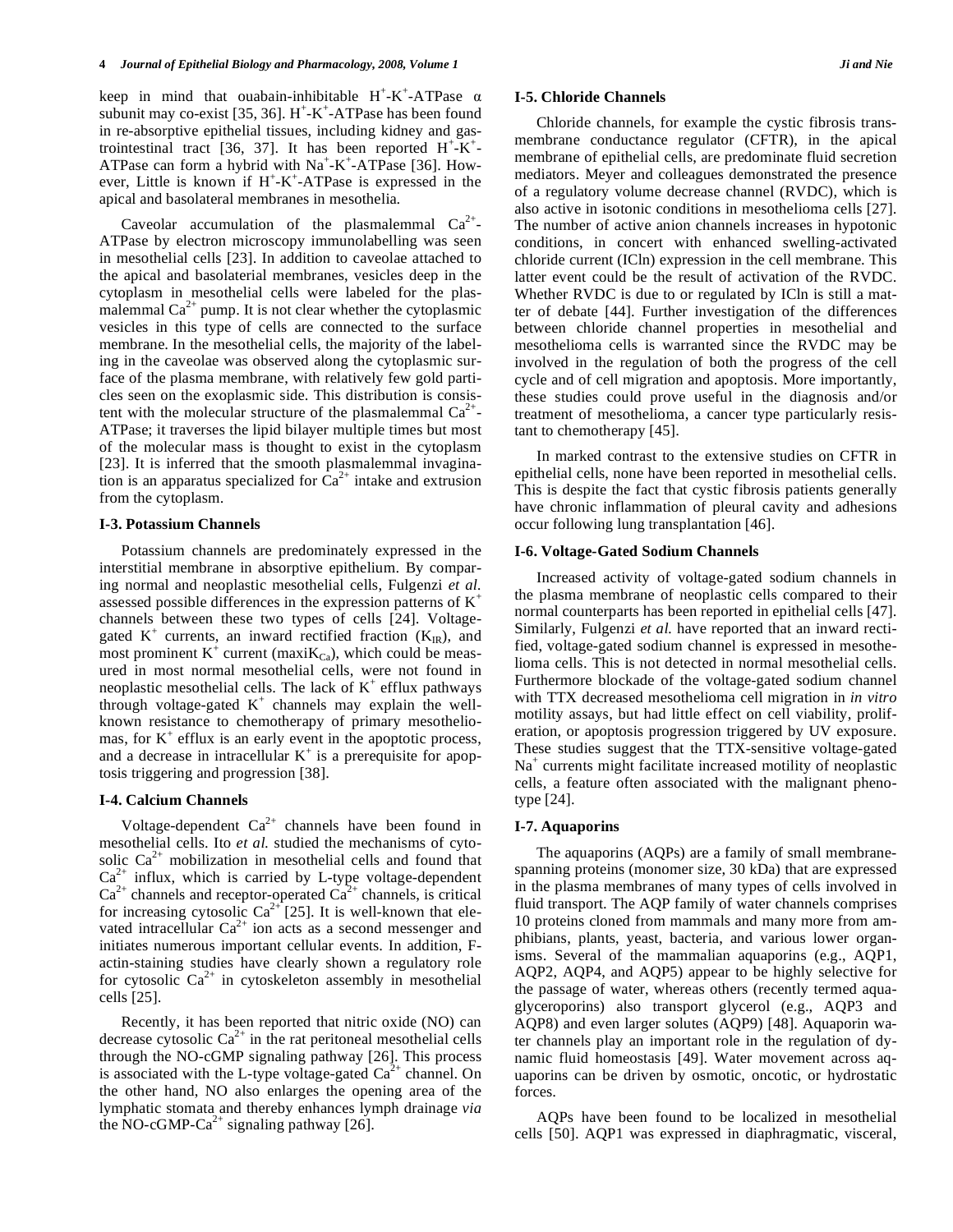keep in mind that ouabain-inhibitable  $H^+$ -K<sup>+</sup>-ATPase  $\alpha$ subunit may co-exist [35, 36].  $H^+$ -K<sup>+</sup>-ATPase has been found in re-absorptive epithelial tissues, including kidney and gastrointestinal tract [36, 37]. It has been reported  $H^+$ - $K^+$ -ATPase can form a hybrid with  $Na^+$ -K<sup>+</sup>-ATPase [36]. However, Little is known if  $H^+$ -K<sup>+</sup>-ATPase is expressed in the apical and basolateral membranes in mesothelia.

Caveolar accumulation of the plasmalemmal  $Ca^{2+}$ -ATPase by electron microscopy immunolabelling was seen in mesothelial cells [23]. In addition to caveolae attached to the apical and basolaterial membranes, vesicles deep in the cytoplasm in mesothelial cells were labeled for the plasmalemmal  $Ca^{2+}$  pump. It is not clear whether the cytoplasmic vesicles in this type of cells are connected to the surface membrane. In the mesothelial cells, the majority of the labeling in the caveolae was observed along the cytoplasmic surface of the plasma membrane, with relatively few gold particles seen on the exoplasmic side. This distribution is consistent with the molecular structure of the plasmalemmal  $Ca^{2+}$ -ATPase; it traverses the lipid bilayer multiple times but most of the molecular mass is thought to exist in the cytoplasm [23]. It is inferred that the smooth plasmalemmal invagination is an apparatus specialized for  $Ca^{2+}$  intake and extrusion from the cytoplasm.

#### **I-3. Potassium Channels**

 Potassium channels are predominately expressed in the interstitial membrane in absorptive epithelium. By comparing normal and neoplastic mesothelial cells, Fulgenzi *et al.*  assessed possible differences in the expression patterns of  $K^+$ channels between these two types of cells [24]. Voltagegated  $K^+$  currents, an inward rectified fraction  $(K_{IR})$ , and most prominent  $K^+$  current (maxi $K_{Ca}$ ), which could be measured in most normal mesothelial cells, were not found in neoplastic mesothelial cells. The lack of  $K^+$  efflux pathways through voltage-gated  $K^+$  channels may explain the wellknown resistance to chemotherapy of primary mesotheliomas, for  $K^+$  efflux is an early event in the apoptotic process, and a decrease in intracellular  $K^+$  is a prerequisite for apoptosis triggering and progression [38].

# **I-4. Calcium Channels**

Voltage-dependent  $Ca^{2+}$  channels have been found in mesothelial cells. Ito *et al.* studied the mechanisms of cytosolic  $Ca^{2+}$  mobilization in mesothelial cells and found that  $Ca^{2+}$  influx, which is carried by L-type voltage-dependent  $Ca^{2+}$  channels and receptor-operated  $Ca^{2+}$  channels, is critical for increasing cytosolic  $Ca^{2+}$  [25]. It is well-known that elevated intracellular  $Ca^{2+}$  ion acts as a second messenger and initiates numerous important cellular events. In addition, Factin-staining studies have clearly shown a regulatory role for cytosolic  $Ca^{2+}$  in cytoskeleton assembly in mesothelial cells [25].

 Recently, it has been reported that nitric oxide (NO) can decrease cytosolic  $Ca^{2+}$  in the rat peritoneal mesothelial cells through the NO-cGMP signaling pathway [26]. This process is associated with the L-type voltage-gated  $Ca^{2+}$  channel. On the other hand, NO also enlarges the opening area of the lymphatic stomata and thereby enhances lymph drainage *via*  the NO-cGMP-Ca<sup>2+</sup> signaling pathway [26].

### **I-5. Chloride Channels**

 Chloride channels, for example the cystic fibrosis transmembrane conductance regulator (CFTR), in the apical membrane of epithelial cells, are predominate fluid secretion mediators. Meyer and colleagues demonstrated the presence of a regulatory volume decrease channel (RVDC), which is also active in isotonic conditions in mesothelioma cells [27]. The number of active anion channels increases in hypotonic conditions, in concert with enhanced swelling-activated chloride current (ICln) expression in the cell membrane. This latter event could be the result of activation of the RVDC. Whether RVDC is due to or regulated by ICln is still a matter of debate [44]. Further investigation of the differences between chloride channel properties in mesothelial and mesothelioma cells is warranted since the RVDC may be involved in the regulation of both the progress of the cell cycle and of cell migration and apoptosis. More importantly, these studies could prove useful in the diagnosis and/or treatment of mesothelioma, a cancer type particularly resistant to chemotherapy [45].

 In marked contrast to the extensive studies on CFTR in epithelial cells, none have been reported in mesothelial cells. This is despite the fact that cystic fibrosis patients generally have chronic inflammation of pleural cavity and adhesions occur following lung transplantation [46].

# **I-6. Voltage-Gated Sodium Channels**

 Increased activity of voltage-gated sodium channels in the plasma membrane of neoplastic cells compared to their normal counterparts has been reported in epithelial cells [47]. Similarly, Fulgenzi *et al.* have reported that an inward rectified, voltage-gated sodium channel is expressed in mesothelioma cells. This is not detected in normal mesothelial cells. Furthermore blockade of the voltage-gated sodium channel with TTX decreased mesothelioma cell migration in *in vitro* motility assays, but had little effect on cell viability, proliferation, or apoptosis progression triggered by UV exposure. These studies suggest that the TTX-sensitive voltage-gated Na<sup>+</sup> currents might facilitate increased motility of neoplastic cells, a feature often associated with the malignant phenotype [24].

#### **I-7. Aquaporins**

 The aquaporins (AQPs) are a family of small membranespanning proteins (monomer size, 30 kDa) that are expressed in the plasma membranes of many types of cells involved in fluid transport. The AQP family of water channels comprises 10 proteins cloned from mammals and many more from amphibians, plants, yeast, bacteria, and various lower organisms. Several of the mammalian aquaporins (e.g., AQP1, AQP2, AQP4, and AQP5) appear to be highly selective for the passage of water, whereas others (recently termed aquaglyceroporins) also transport glycerol (e.g., AQP3 and AQP8) and even larger solutes (AQP9) [48]. Aquaporin water channels play an important role in the regulation of dynamic fluid homeostasis [49]. Water movement across aquaporins can be driven by osmotic, oncotic, or hydrostatic forces.

 AQPs have been found to be localized in mesothelial cells [50]. AQP1 was expressed in diaphragmatic, visceral,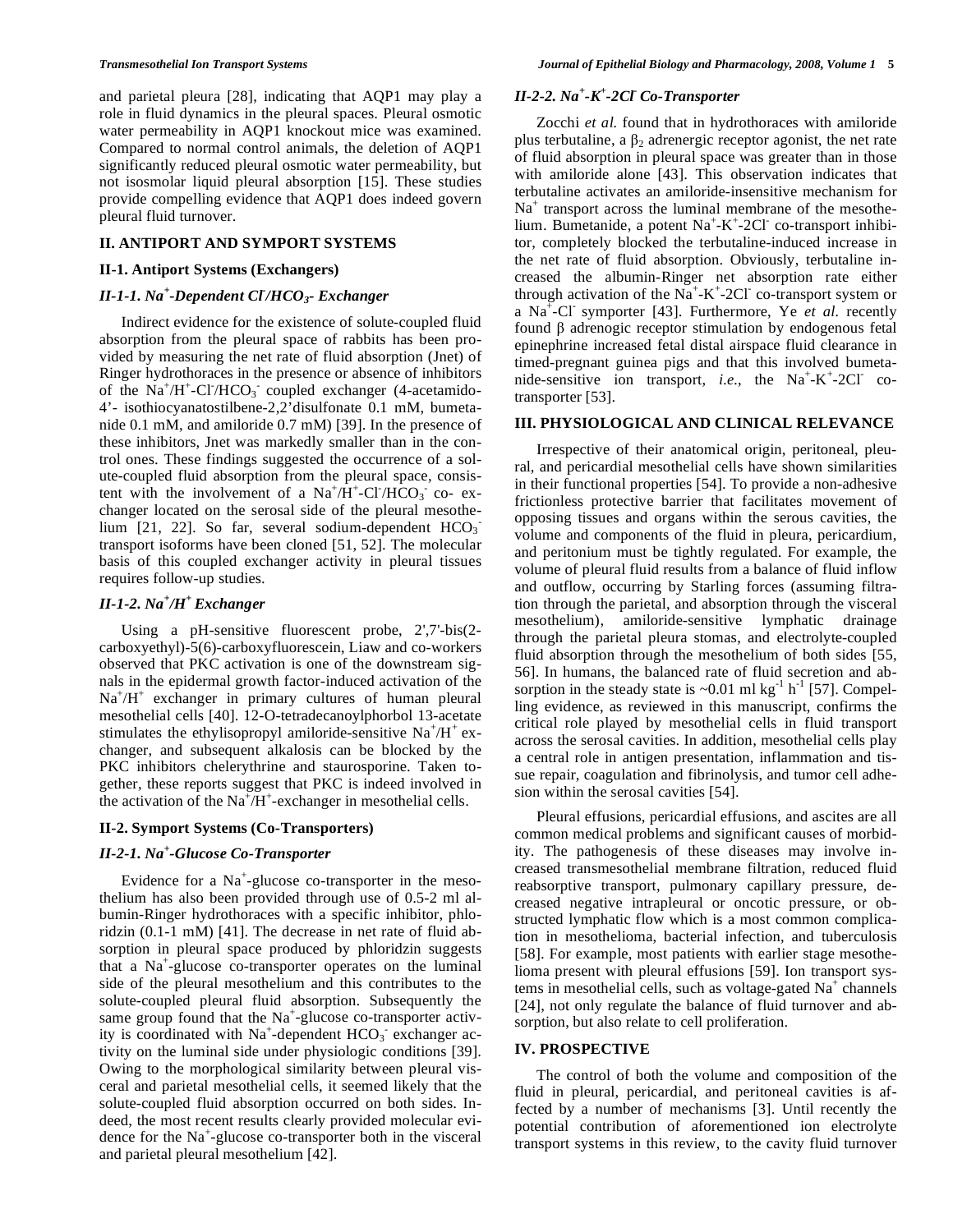and parietal pleura [28], indicating that AQP1 may play a role in fluid dynamics in the pleural spaces. Pleural osmotic water permeability in AQP1 knockout mice was examined. Compared to normal control animals, the deletion of AQP1 significantly reduced pleural osmotic water permeability, but not isosmolar liquid pleural absorption [15]. These studies provide compelling evidence that AQP1 does indeed govern pleural fluid turnover.

# **II. ANTIPORT AND SYMPORT SYSTEMS**

#### **II-1. Antiport Systems (Exchangers)**

# *II-1-1. Na<sup>+</sup> -Dependent Cl- /HCO3- Exchanger*

 Indirect evidence for the existence of solute-coupled fluid absorption from the pleural space of rabbits has been provided by measuring the net rate of fluid absorption (Jnet) of Ringer hydrothoraces in the presence or absence of inhibitors of the  $Na^+/H^+$ -Cl<sup>'</sup>/HCO<sub>3</sub> coupled exchanger (4-acetamido-4'- isothiocyanatostilbene-2,2'disulfonate 0.1 mM, bumetanide 0.1 mM, and amiloride 0.7 mM) [39]. In the presence of these inhibitors, Jnet was markedly smaller than in the control ones. These findings suggested the occurrence of a solute-coupled fluid absorption from the pleural space, consistent with the involvement of a  $Na^+\overline{H}^+$ -Cl<sup>-</sup>/HCO<sub>3</sub> co- exchanger located on the serosal side of the pleural mesothelium [21, 22]. So far, several sodium-dependent  $HCO<sub>3</sub>$ transport isoforms have been cloned [51, 52]. The molecular basis of this coupled exchanger activity in pleural tissues requires follow-up studies.

# *II-1-2. Na<sup>+</sup> /H+ Exchanger*

 Using a pH-sensitive fluorescent probe, 2',7'-bis(2 carboxyethyl)-5(6)-carboxyfluorescein, Liaw and co-workers observed that PKC activation is one of the downstream signals in the epidermal growth factor-induced activation of the Na<sup>+</sup>/H<sup>+</sup> exchanger in primary cultures of human pleural mesothelial cells [40]. 12-O-tetradecanoylphorbol 13-acetate stimulates the ethylisopropyl amiloride-sensitive  $Na^{\dagger}/H^{\dagger}$  exchanger, and subsequent alkalosis can be blocked by the PKC inhibitors chelerythrine and staurosporine. Taken together, these reports suggest that PKC is indeed involved in the activation of the  $\text{Na}^{\text{*}}/\text{H}^{\text{+}}$ -exchanger in mesothelial cells.

### **II-2. Symport Systems (Co-Transporters)**

# *II-2-1. Na<sup>+</sup> -Glucose Co-Transporter*

Evidence for a Na<sup>+</sup>-glucose co-transporter in the mesothelium has also been provided through use of 0.5-2 ml albumin-Ringer hydrothoraces with a specific inhibitor, phloridzin (0.1-1 mM) [41]. The decrease in net rate of fluid absorption in pleural space produced by phloridzin suggests that a  $Na^+$ -glucose co-transporter operates on the luminal side of the pleural mesothelium and this contributes to the solute-coupled pleural fluid absorption. Subsequently the same group found that the  $Na^+$ -glucose co-transporter activity is coordinated with  $Na^+$ -dependent  $HCO_3^-$  exchanger activity on the luminal side under physiologic conditions [39]. Owing to the morphological similarity between pleural visceral and parietal mesothelial cells, it seemed likely that the solute-coupled fluid absorption occurred on both sides. Indeed, the most recent results clearly provided molecular evidence for the Na<sup>+</sup> -glucose co-transporter both in the visceral and parietal pleural mesothelium [42].

# *II-2-2. Na<sup>+</sup> -K+ -2Cl- Co-Transporter*

 Zocchi *et al.* found that in hydrothoraces with amiloride plus terbutaline, a  $\beta_2$  adrenergic receptor agonist, the net rate of fluid absorption in pleural space was greater than in those with amiloride alone [43]. This observation indicates that terbutaline activates an amiloride-insensitive mechanism for Na<sup>+</sup> transport across the luminal membrane of the mesothelium. Bumetanide, a potent  $Na^+ - K^+ - 2Cl^-$  co-transport inhibitor, completely blocked the terbutaline-induced increase in the net rate of fluid absorption. Obviously, terbutaline increased the albumin-Ringer net absorption rate either through activation of the  $\overline{Na}^+$ - $K^+$ -2Cl co-transport system or a Na<sup>+</sup>-Cl<sup>-</sup> symporter [43]. Furthermore, Ye *et al.* recently found B adrenogic receptor stimulation by endogenous fetal epinephrine increased fetal distal airspace fluid clearance in timed-pregnant guinea pigs and that this involved bumetanide-sensitive ion transport, *i.e.*, the  $Na^+ - K^+ - 2Cl^-$  cotransporter [53].

# **III. PHYSIOLOGICAL AND CLINICAL RELEVANCE**

 Irrespective of their anatomical origin, peritoneal, pleural, and pericardial mesothelial cells have shown similarities in their functional properties [54]. To provide a non-adhesive frictionless protective barrier that facilitates movement of opposing tissues and organs within the serous cavities, the volume and components of the fluid in pleura, pericardium, and peritonium must be tightly regulated. For example, the volume of pleural fluid results from a balance of fluid inflow and outflow, occurring by Starling forces (assuming filtration through the parietal, and absorption through the visceral mesothelium), amiloride-sensitive lymphatic drainage through the parietal pleura stomas, and electrolyte-coupled fluid absorption through the mesothelium of both sides [55, 56]. In humans, the balanced rate of fluid secretion and absorption in the steady state is  $\sim 0.01$  ml kg<sup>-1</sup> h<sup>-1</sup> [57]. Compelling evidence, as reviewed in this manuscript, confirms the critical role played by mesothelial cells in fluid transport across the serosal cavities. In addition, mesothelial cells play a central role in antigen presentation, inflammation and tissue repair, coagulation and fibrinolysis, and tumor cell adhesion within the serosal cavities [54].

 Pleural effusions, pericardial effusions, and ascites are all common medical problems and significant causes of morbidity. The pathogenesis of these diseases may involve increased transmesothelial membrane filtration, reduced fluid reabsorptive transport, pulmonary capillary pressure, decreased negative intrapleural or oncotic pressure, or obstructed lymphatic flow which is a most common complication in mesothelioma, bacterial infection, and tuberculosis [58]. For example, most patients with earlier stage mesothelioma present with pleural effusions [59]. Ion transport systems in mesothelial cells, such as voltage-gated  $Na<sup>+</sup>$  channels [24], not only regulate the balance of fluid turnover and absorption, but also relate to cell proliferation.

### **IV. PROSPECTIVE**

 The control of both the volume and composition of the fluid in pleural, pericardial, and peritoneal cavities is affected by a number of mechanisms [3]. Until recently the potential contribution of aforementioned ion electrolyte transport systems in this review, to the cavity fluid turnover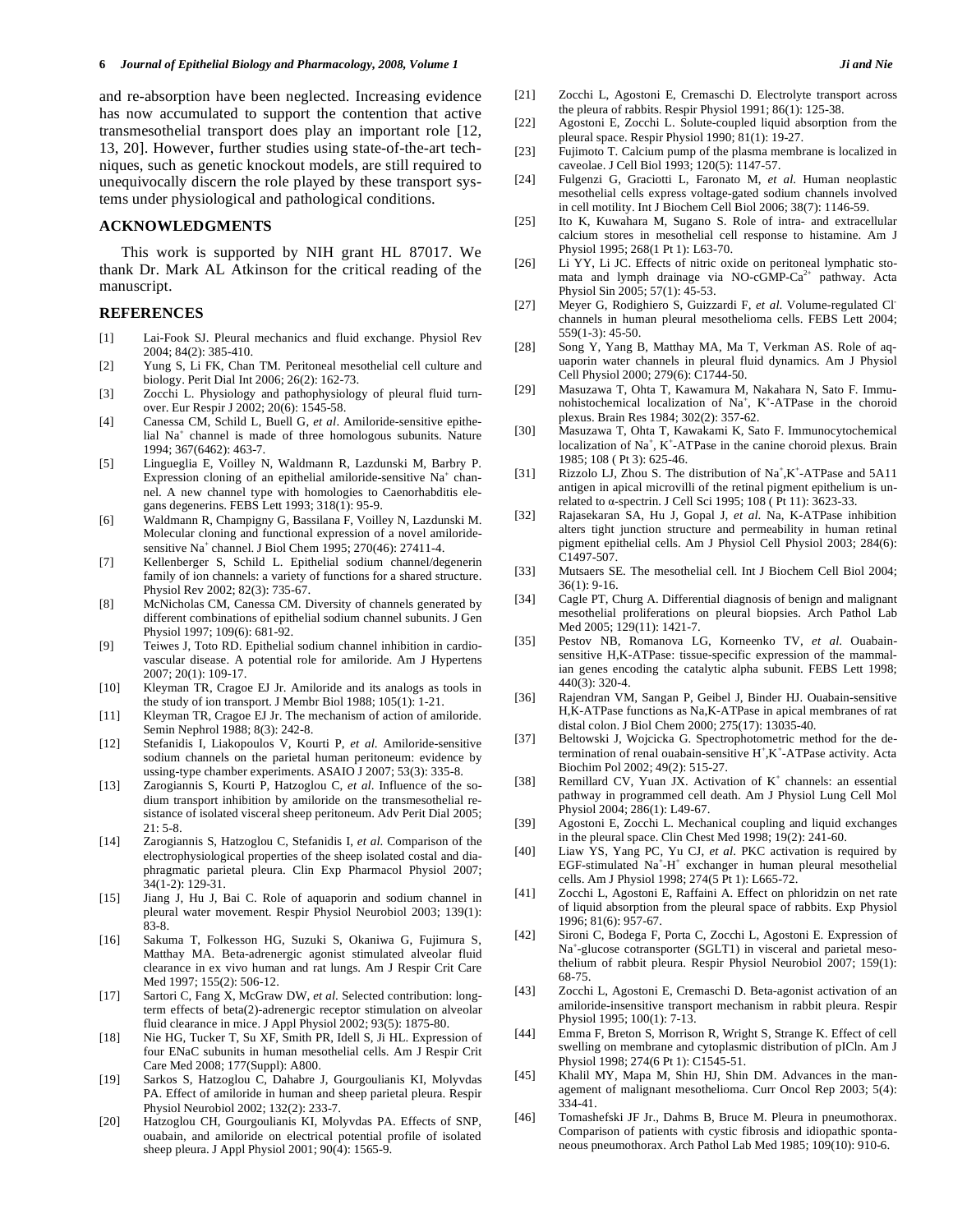and re-absorption have been neglected. Increasing evidence has now accumulated to support the contention that active transmesothelial transport does play an important role [12, 13, 20]. However, further studies using state-of-the-art techniques, such as genetic knockout models, are still required to unequivocally discern the role played by these transport systems under physiological and pathological conditions.

### **ACKNOWLEDGMENTS**

 This work is supported by NIH grant HL 87017. We thank Dr. Mark AL Atkinson for the critical reading of the manuscript.

# **REFERENCES**

- [1] Lai-Fook SJ. Pleural mechanics and fluid exchange. Physiol Rev 2004; 84(2): 385-410.
- [2] Yung S, Li FK, Chan TM. Peritoneal mesothelial cell culture and biology. Perit Dial Int 2006; 26(2): 162-73.
- [3] Zocchi L. Physiology and pathophysiology of pleural fluid turnover. Eur Respir J 2002; 20(6): 1545-58.
- [4] Canessa CM, Schild L, Buell G, *et al*. Amiloride-sensitive epithelial Na<sup>+</sup> channel is made of three homologous subunits. Nature 1994; 367(6462): 463-7.
- [5] Lingueglia E, Voilley N, Waldmann R, Lazdunski M, Barbry P. Expression cloning of an epithelial amiloride-sensitive Na<sup>+</sup> channel. A new channel type with homologies to Caenorhabditis elegans degenerins. FEBS Lett 1993; 318(1): 95-9.
- [6] Waldmann R, Champigny G, Bassilana F, Voilley N, Lazdunski M. Molecular cloning and functional expression of a novel amiloridesensitive Na<sup>+</sup> channel. J Biol Chem 1995; 270(46): 27411-4.
- [7] Kellenberger S, Schild L. Epithelial sodium channel/degenerin family of ion channels: a variety of functions for a shared structure. Physiol Rev 2002; 82(3): 735-67.
- [8] McNicholas CM, Canessa CM. Diversity of channels generated by different combinations of epithelial sodium channel subunits. J Gen Physiol 1997; 109(6): 681-92.
- [9] Teiwes J, Toto RD. Epithelial sodium channel inhibition in cardiovascular disease. A potential role for amiloride. Am J Hypertens 2007; 20(1): 109-17.
- [10] Kleyman TR, Cragoe EJ Jr. Amiloride and its analogs as tools in the study of ion transport. J Membr Biol 1988; 105(1): 1-21.
- [11] Kleyman TR, Cragoe EJ Jr. The mechanism of action of amiloride. Semin Nephrol 1988; 8(3): 242-8.
- [12] Stefanidis I, Liakopoulos V, Kourti P, *et al*. Amiloride-sensitive sodium channels on the parietal human peritoneum: evidence by ussing-type chamber experiments. ASAIO J 2007; 53(3): 335-8.
- [13] Zarogiannis S, Kourti P, Hatzoglou C, *et al*. Influence of the sodium transport inhibition by amiloride on the transmesothelial resistance of isolated visceral sheep peritoneum. Adv Perit Dial 2005;  $21: 5-8.$
- [14] Zarogiannis S, Hatzoglou C, Stefanidis I, *et al*. Comparison of the electrophysiological properties of the sheep isolated costal and diaphragmatic parietal pleura. Clin Exp Pharmacol Physiol 2007; 34(1-2): 129-31.
- [15] Jiang J, Hu J, Bai C. Role of aquaporin and sodium channel in pleural water movement. Respir Physiol Neurobiol 2003; 139(1): 83-8.
- [16] Sakuma T, Folkesson HG, Suzuki S, Okaniwa G, Fujimura S, Matthay MA. Beta-adrenergic agonist stimulated alveolar fluid clearance in ex vivo human and rat lungs. Am J Respir Crit Care Med 1997; 155(2): 506-12.
- [17] Sartori C, Fang X, McGraw DW, *et al*. Selected contribution: longterm effects of beta(2)-adrenergic receptor stimulation on alveolar fluid clearance in mice. J Appl Physiol 2002; 93(5): 1875-80.
- [18] Nie HG, Tucker T, Su XF, Smith PR, Idell S, Ji HL. Expression of four ENaC subunits in human mesothelial cells. Am J Respir Crit Care Med 2008; 177(Suppl): A800.
- [19] Sarkos S, Hatzoglou C, Dahabre J, Gourgoulianis KI, Molyvdas PA. Effect of amiloride in human and sheep parietal pleura. Respir Physiol Neurobiol 2002; 132(2): 233-7.
- [20] Hatzoglou CH, Gourgoulianis KI, Molyvdas PA. Effects of SNP, ouabain, and amiloride on electrical potential profile of isolated sheep pleura. J Appl Physiol 2001; 90(4): 1565-9.
- [21] Zocchi L, Agostoni E, Cremaschi D. Electrolyte transport across the pleura of rabbits. Respir Physiol 1991; 86(1): 125-38.
- [22] Agostoni E, Zocchi L. Solute-coupled liquid absorption from the pleural space. Respir Physiol 1990; 81(1): 19-27.
- [23] Fujimoto T. Calcium pump of the plasma membrane is localized in caveolae. J Cell Biol 1993; 120(5): 1147-57.
- [24] Fulgenzi G, Graciotti L, Faronato M, *et al*. Human neoplastic mesothelial cells express voltage-gated sodium channels involved in cell motility. Int J Biochem Cell Biol 2006; 38(7): 1146-59.
- [25] Ito K, Kuwahara M, Sugano S. Role of intra- and extracellular calcium stores in mesothelial cell response to histamine. Am J Physiol 1995; 268(1 Pt 1): L63-70.
- [26] Li YY, Li JC. Effects of nitric oxide on peritoneal lymphatic stomata and lymph drainage via  $NO\text{-}GMP\text{-}Ca^{2+}$  pathway. Acta Physiol Sin 2005; 57(1): 45-53.
- [27] Meyer G, Rodighiero S, Guizzardi F, *et al*. Volume-regulated Clchannels in human pleural mesothelioma cells. FEBS Lett 2004; 559(1-3): 45-50.
- [28] Song Y, Yang B, Matthay MA, Ma T, Verkman AS. Role of aquaporin water channels in pleural fluid dynamics. Am J Physiol Cell Physiol 2000; 279(6): C1744-50.
- [29] Masuzawa T, Ohta T, Kawamura M, Nakahara N, Sato F. Immunohistochemical localization of Na<sup>+</sup>, K<sup>+</sup>-ATPase in the choroid plexus. Brain Res 1984; 302(2): 357-62.
- [30] Masuzawa T, Ohta T, Kawakami K, Sato F. Immunocytochemical localization of  $Na^+$ ,  $K^+$ -ATPase in the canine choroid plexus. Brain 1985; 108 ( Pt 3): 625-46.
- [31] Rizzolo LJ, Zhou S. The distribution of  $Na<sup>+</sup>, K<sup>+</sup> ATP$ ase and 5A11 antigen in apical microvilli of the retinal pigment epithelium is unrelated to  $\alpha$ -spectrin. J Cell Sci 1995; 108 (Pt 11): 3623-33.
- [32] Rajasekaran SA, Hu J, Gopal J, *et al*. Na, K-ATPase inhibition alters tight junction structure and permeability in human retinal pigment epithelial cells. Am J Physiol Cell Physiol 2003; 284(6): C1497-507.
- [33] Mutsaers SE. The mesothelial cell. Int J Biochem Cell Biol 2004; 36(1): 9-16.
- [34] Cagle PT, Churg A. Differential diagnosis of benign and malignant mesothelial proliferations on pleural biopsies. Arch Pathol Lab Med 2005; 129(11): 1421-7.
- [35] Pestov NB, Romanova LG, Korneenko TV, *et al*. Ouabainsensitive H,K-ATPase: tissue-specific expression of the mammalian genes encoding the catalytic alpha subunit. FEBS Lett 1998; 440(3): 320-4.
- [36] Rajendran VM, Sangan P, Geibel J, Binder HJ. Ouabain-sensitive H,K-ATPase functions as Na,K-ATPase in apical membranes of rat distal colon. J Biol Chem 2000; 275(17): 13035-40.
- [37] Beltowski J, Wojcicka G. Spectrophotometric method for the determination of renal ouabain-sensitive  $H^+$ ,  $K^+$ -ATPase activity. Acta Biochim Pol 2002; 49(2): 515-27.
- [38] Remillard CV, Yuan JX. Activation of  $K^+$  channels: an essential pathway in programmed cell death. Am J Physiol Lung Cell Mol Physiol 2004; 286(1): L49-67.
- [39] Agostoni E, Zocchi L. Mechanical coupling and liquid exchanges in the pleural space. Clin Chest Med 1998; 19(2): 241-60.
- [40] Liaw YS, Yang PC, Yu CJ, *et al*. PKC activation is required by EGF-stimulated  $Na^+ - H^+$  exchanger in human pleural mesothelial cells. Am J Physiol 1998; 274(5 Pt 1): L665-72.
- [41] Zocchi L, Agostoni E, Raffaini A. Effect on phloridzin on net rate of liquid absorption from the pleural space of rabbits. Exp Physiol 1996; 81(6): 957-67.
- [42] Sironi C, Bodega F, Porta C, Zocchi L, Agostoni E. Expression of Na<sup>+</sup> -glucose cotransporter (SGLT1) in visceral and parietal mesothelium of rabbit pleura. Respir Physiol Neurobiol 2007; 159(1): 68-75.
- [43] Zocchi L, Agostoni E, Cremaschi D. Beta-agonist activation of an amiloride-insensitive transport mechanism in rabbit pleura. Respir Physiol 1995; 100(1): 7-13.
- [44] Emma F, Breton S, Morrison R, Wright S, Strange K. Effect of cell swelling on membrane and cytoplasmic distribution of pICln. Am J Physiol 1998; 274(6 Pt 1): C1545-51.
- [45] Khalil MY, Mapa M, Shin HJ, Shin DM. Advances in the management of malignant mesothelioma. Curr Oncol Rep 2003; 5(4): 334-41.
- [46] Tomashefski JF Jr., Dahms B, Bruce M. Pleura in pneumothorax. Comparison of patients with cystic fibrosis and idiopathic spontaneous pneumothorax. Arch Pathol Lab Med 1985; 109(10): 910-6.